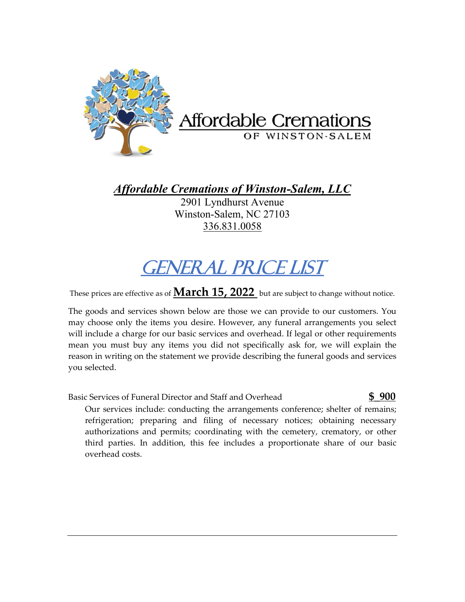

*Affordable Cremations of Winston-Salem, LLC*

2901 Lyndhurst Avenue Winston-Salem, NC 27103 336.831.0058

## GENERAL PRICE LIST

These prices are effective as of **March 15, 2022** but are subject to change without notice.

The goods and services shown below are those we can provide to our customers. You may choose only the items you desire. However, any funeral arrangements you select will include a charge for our basic services and overhead. If legal or other requirements mean you must buy any items you did not specifically ask for, we will explain the reason in writing on the statement we provide describing the funeral goods and services you selected.

## Basic Services of Funeral Director and Staff and Overhead **\$\_900**

I

Our services include: conducting the arrangements conference; shelter of remains; refrigeration; preparing and filing of necessary notices; obtaining necessary authorizations and permits; coordinating with the cemetery, crematory, or other third parties. In addition, this fee includes a proportionate share of our basic overhead costs.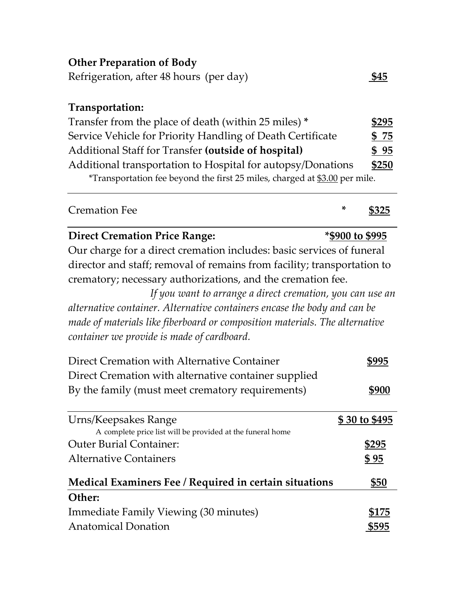| <b>Other Preparation of Body</b><br>Refrigeration, after 48 hours (per day) |                 | \$45          |
|-----------------------------------------------------------------------------|-----------------|---------------|
| Transportation:                                                             |                 |               |
| Transfer from the place of death (within 25 miles) *                        |                 | <u>\$295</u>  |
| Service Vehicle for Priority Handling of Death Certificate                  |                 | \$75          |
| Additional Staff for Transfer (outside of hospital)                         |                 | \$95          |
| Additional transportation to Hospital for autopsy/Donations                 |                 | <u>\$250</u>  |
| *Transportation fee beyond the first 25 miles, charged at \$3.00 per mile.  |                 |               |
| <b>Cremation Fee</b>                                                        | *               | <u>\$325</u>  |
| <b>Direct Cremation Price Range:</b>                                        | *\$900 to \$995 |               |
| Our charge for a direct cremation includes: basic services of funeral       |                 |               |
| director and staff; removal of remains from facility; transportation to     |                 |               |
| crematory; necessary authorizations, and the cremation fee.                 |                 |               |
| If you want to arrange a direct cremation, you can use an                   |                 |               |
| alternative container. Alternative containers encase the body and can be    |                 |               |
| made of materials like fiberboard or composition materials. The alternative |                 |               |
| container we provide is made of cardboard.                                  |                 |               |
| Direct Cremation with Alternative Container                                 |                 | <u>\$995</u>  |
| Direct Cremation with alternative container supplied                        |                 |               |
| By the family (must meet crematory requirements)                            |                 | <u>\$900</u>  |
| Urns/Keepsakes Range                                                        |                 | \$30 to \$495 |
| A complete price list will be provided at the funeral home                  |                 |               |
| <b>Outer Burial Container:</b>                                              |                 | <u>\$295</u>  |
| <b>Alternative Containers</b>                                               |                 | <u>\$95</u>   |
| Medical Examiners Fee / Required in certain situations                      |                 | <u>\$50</u>   |
| Other:                                                                      |                 |               |
| Immediate Family Viewing (30 minutes)                                       |                 | <u>\$175</u>  |
| <b>Anatomical Donation</b>                                                  |                 | <u>\$595</u>  |